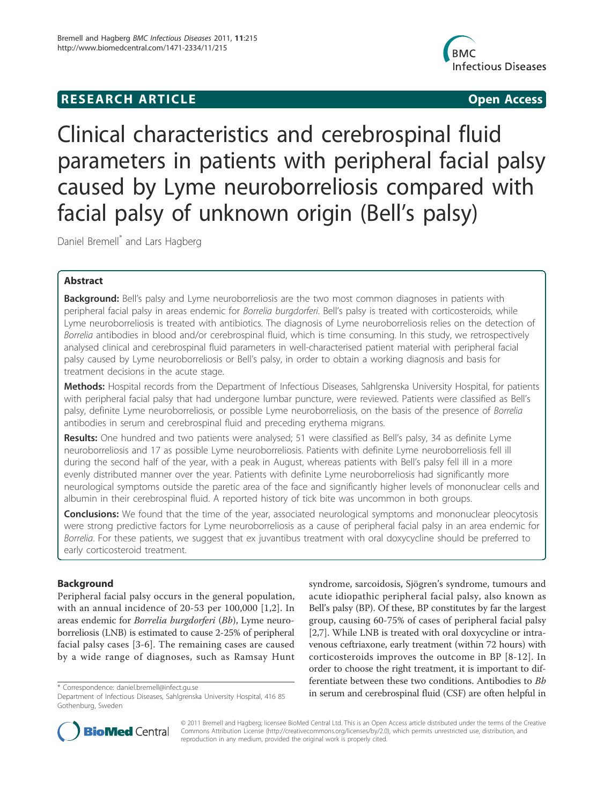# **RESEARCH ARTICLE Example 2018 CONSIDERING ACCESS**



Clinical characteristics and cerebrospinal fluid parameters in patients with peripheral facial palsy caused by Lyme neuroborreliosis compared with facial palsy of unknown origin (Bell's palsy)

Daniel Bremell<sup>\*</sup> and Lars Hagberg

# Abstract

**Background:** Bell's palsy and Lyme neuroborreliosis are the two most common diagnoses in patients with peripheral facial palsy in areas endemic for Borrelia burgdorferi. Bell's palsy is treated with corticosteroids, while Lyme neuroborreliosis is treated with antibiotics. The diagnosis of Lyme neuroborreliosis relies on the detection of Borrelia antibodies in blood and/or cerebrospinal fluid, which is time consuming. In this study, we retrospectively analysed clinical and cerebrospinal fluid parameters in well-characterised patient material with peripheral facial palsy caused by Lyme neuroborreliosis or Bell's palsy, in order to obtain a working diagnosis and basis for treatment decisions in the acute stage.

Methods: Hospital records from the Department of Infectious Diseases, Sahlgrenska University Hospital, for patients with peripheral facial palsy that had undergone lumbar puncture, were reviewed. Patients were classified as Bell's palsy, definite Lyme neuroborreliosis, or possible Lyme neuroborreliosis, on the basis of the presence of Borrelia antibodies in serum and cerebrospinal fluid and preceding erythema migrans.

Results: One hundred and two patients were analysed; 51 were classified as Bell's palsy, 34 as definite Lyme neuroborreliosis and 17 as possible Lyme neuroborreliosis. Patients with definite Lyme neuroborreliosis fell ill during the second half of the year, with a peak in August, whereas patients with Bell's palsy fell ill in a more evenly distributed manner over the year. Patients with definite Lyme neuroborreliosis had significantly more neurological symptoms outside the paretic area of the face and significantly higher levels of mononuclear cells and albumin in their cerebrospinal fluid. A reported history of tick bite was uncommon in both groups.

**Conclusions:** We found that the time of the year, associated neurological symptoms and mononuclear pleocytosis were strong predictive factors for Lyme neuroborreliosis as a cause of peripheral facial palsy in an area endemic for Borrelia. For these patients, we suggest that ex juvantibus treatment with oral doxycycline should be preferred to early corticosteroid treatment.

# Background

Peripheral facial palsy occurs in the general population, with an annual incidence of 20-53 per 100,000 [1,2]. In areas endemic for Borrelia burgdorferi (Bb), Lyme neuroborreliosis (LNB) is estimated to cause 2-25% of peripheral facial palsy cases [3-6]. The remaining cases are caused by a wide range of diagnoses, such as Ramsay Hunt

syndrome, sarcoidosis, Sjögren's syndrome, tumours and acute idiopathic peripheral facial palsy, also known as Bell's palsy (BP). Of these, BP constitutes by far the largest group, causing 60-75% of cases of peripheral facial palsy [2,7]. While LNB is treated with oral doxycycline or intravenous ceftriaxone, early treatment (within 72 hours) with corticosteroids improves the outcome in BP [8-12]. In order to choose the right treatment, it is important to differentiate between these two conditions. Antibodies to Bb in serum and cerebrospinal fluid (CSF) are often helpful in \* Correspondence: daniel.bremell@infect.gu.se



© 2011 Bremell and Hagberg; licensee BioMed Central Ltd. This is an Open Access article distributed under the terms of the Creative Commons Attribution License (http://creativecommons.org/licenses/by/2.0), which permits unrestricted use, distribution, and reproduction in any medium, provided the original work is properly cited.

Department of Infectious Diseases, Sahlgrenska University Hospital, 416 85 Gothenburg, Sweden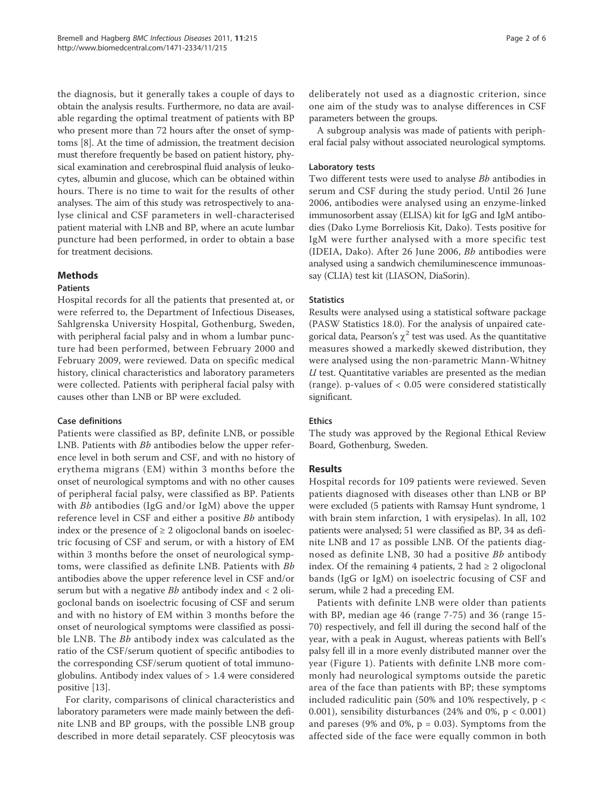the diagnosis, but it generally takes a couple of days to obtain the analysis results. Furthermore, no data are available regarding the optimal treatment of patients with BP who present more than 72 hours after the onset of symptoms [8]. At the time of admission, the treatment decision must therefore frequently be based on patient history, physical examination and cerebrospinal fluid analysis of leukocytes, albumin and glucose, which can be obtained within hours. There is no time to wait for the results of other analyses. The aim of this study was retrospectively to analyse clinical and CSF parameters in well-characterised patient material with LNB and BP, where an acute lumbar puncture had been performed, in order to obtain a base for treatment decisions.

# Methods

### Patients

Hospital records for all the patients that presented at, or were referred to, the Department of Infectious Diseases, Sahlgrenska University Hospital, Gothenburg, Sweden, with peripheral facial palsy and in whom a lumbar puncture had been performed, between February 2000 and February 2009, were reviewed. Data on specific medical history, clinical characteristics and laboratory parameters were collected. Patients with peripheral facial palsy with causes other than LNB or BP were excluded.

### Case definitions

Patients were classified as BP, definite LNB, or possible LNB. Patients with *Bb* antibodies below the upper reference level in both serum and CSF, and with no history of erythema migrans (EM) within 3 months before the onset of neurological symptoms and with no other causes of peripheral facial palsy, were classified as BP. Patients with Bb antibodies (IgG and/or IgM) above the upper reference level in CSF and either a positive Bb antibody index or the presence of  $\geq 2$  oligoclonal bands on isoelectric focusing of CSF and serum, or with a history of EM within 3 months before the onset of neurological symptoms, were classified as definite LNB. Patients with Bb antibodies above the upper reference level in CSF and/or serum but with a negative  $Bb$  antibody index and  $\langle 2 \text{ oli-} \rangle$ goclonal bands on isoelectric focusing of CSF and serum and with no history of EM within 3 months before the onset of neurological symptoms were classified as possible LNB. The Bb antibody index was calculated as the ratio of the CSF/serum quotient of specific antibodies to the corresponding CSF/serum quotient of total immunoglobulins. Antibody index values of  $> 1.4$  were considered positive [13].

For clarity, comparisons of clinical characteristics and laboratory parameters were made mainly between the definite LNB and BP groups, with the possible LNB group described in more detail separately. CSF pleocytosis was deliberately not used as a diagnostic criterion, since one aim of the study was to analyse differences in CSF parameters between the groups.

A subgroup analysis was made of patients with peripheral facial palsy without associated neurological symptoms.

# Laboratory tests

Two different tests were used to analyse Bb antibodies in serum and CSF during the study period. Until 26 June 2006, antibodies were analysed using an enzyme-linked immunosorbent assay (ELISA) kit for IgG and IgM antibodies (Dako Lyme Borreliosis Kit, Dako). Tests positive for IgM were further analysed with a more specific test (IDEIA, Dako). After 26 June 2006, Bb antibodies were analysed using a sandwich chemiluminescence immunoassay (CLIA) test kit (LIASON, DiaSorin).

# **Statistics**

Results were analysed using a statistical software package (PASW Statistics 18.0). For the analysis of unpaired categorical data, Pearson's  $\chi^2$  test was used. As the quantitative measures showed a markedly skewed distribution, they were analysed using the non-parametric Mann-Whitney U test. Quantitative variables are presented as the median (range). p-values of < 0.05 were considered statistically significant.

# Ethics

The study was approved by the Regional Ethical Review Board, Gothenburg, Sweden.

# Results

Hospital records for 109 patients were reviewed. Seven patients diagnosed with diseases other than LNB or BP were excluded (5 patients with Ramsay Hunt syndrome, 1 with brain stem infarction, 1 with erysipelas). In all, 102 patients were analysed; 51 were classified as BP, 34 as definite LNB and 17 as possible LNB. Of the patients diagnosed as definite LNB, 30 had a positive Bb antibody index. Of the remaining 4 patients, 2 had  $\geq 2$  oligoclonal bands (IgG or IgM) on isoelectric focusing of CSF and serum, while 2 had a preceding EM.

Patients with definite LNB were older than patients with BP, median age 46 (range 7-75) and 36 (range 15- 70) respectively, and fell ill during the second half of the year, with a peak in August, whereas patients with Bell's palsy fell ill in a more evenly distributed manner over the year (Figure 1). Patients with definite LNB more commonly had neurological symptoms outside the paretic area of the face than patients with BP; these symptoms included radiculitic pain (50% and 10% respectively, p < 0.001), sensibility disturbances (24% and 0%,  $p < 0.001$ ) and pareses (9% and 0%,  $p = 0.03$ ). Symptoms from the affected side of the face were equally common in both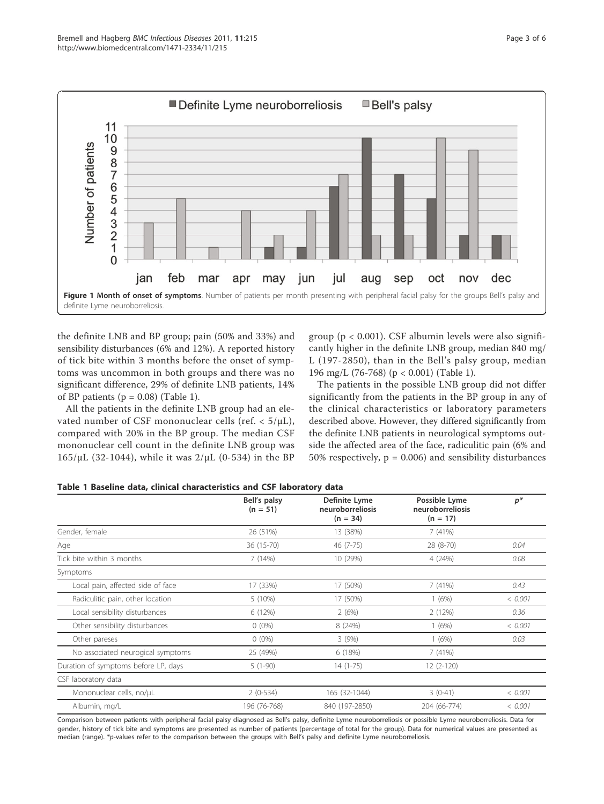

the definite LNB and BP group; pain (50% and 33%) and sensibility disturbances (6% and 12%). A reported history of tick bite within 3 months before the onset of symptoms was uncommon in both groups and there was no significant difference, 29% of definite LNB patients, 14% of BP patients ( $p = 0.08$ ) (Table 1).

All the patients in the definite LNB group had an elevated number of CSF mononuclear cells (ref.  $< 5/\mu L$ ), compared with 20% in the BP group. The median CSF mononuclear cell count in the definite LNB group was 165/μL (32-1044), while it was  $2/\mu$ L (0-534) in the BP

group (p < 0.001). CSF albumin levels were also significantly higher in the definite LNB group, median 840 mg/ L (197-2850), than in the Bell's palsy group, median 196 mg/L (76-768) (p < 0.001) (Table 1).

The patients in the possible LNB group did not differ significantly from the patients in the BP group in any of the clinical characteristics or laboratory parameters described above. However, they differed significantly from the definite LNB patients in neurological symptoms outside the affected area of the face, radiculitic pain (6% and 50% respectively,  $p = 0.006$ ) and sensibility disturbances

|  |  |  |  | Table 1 Baseline data, clinical characteristics and CSF laboratory data |  |  |  |  |
|--|--|--|--|-------------------------------------------------------------------------|--|--|--|--|
|--|--|--|--|-------------------------------------------------------------------------|--|--|--|--|

|                                      | Bell's palsy<br>$(n = 51)$ | Definite Lyme<br>neuroborreliosis<br>$(n = 34)$ | Possible Lyme<br>neuroborreliosis<br>$(n = 17)$ | $p^*$   |
|--------------------------------------|----------------------------|-------------------------------------------------|-------------------------------------------------|---------|
| Gender, female                       | 26 (51%)                   | 13 (38%)                                        | 7(41%)                                          |         |
| Age                                  | 36 (15-70)                 | 46 (7-75)                                       | 28 (8-70)                                       | 0.04    |
| Tick bite within 3 months            | 7 (14%)                    | 10 (29%)                                        | 4(24%)                                          | 0.08    |
| Symptoms                             |                            |                                                 |                                                 |         |
| Local pain, affected side of face    | 17 (33%)                   | 17 (50%)                                        | 7(41%)                                          | 0.43    |
| Radiculitic pain, other location     | $5(10\%)$                  | 17 (50%)                                        | 1(6%)                                           | < 0.001 |
| Local sensibility disturbances       | 6(12%)                     | 2(6%)                                           | 2(12%)                                          | 0.36    |
| Other sensibility disturbances       | $0(0\%)$                   | 8 (24%)                                         | 1(6%)                                           | < 0.001 |
| Other pareses                        | $0(0\%)$                   | $3(9\%)$                                        | 1(6%)                                           | 0.03    |
| No associated neurogical symptoms    | 25 (49%)                   | 6(18%)                                          | 7(41%)                                          |         |
| Duration of symptoms before LP, days | $5(1-90)$                  | $14(1-75)$<br>$12(2-120)$                       |                                                 |         |
| CSF laboratory data                  |                            |                                                 |                                                 |         |
| Mononuclear cells, no/µL             | $2(0-534)$                 | $3(0-41)$<br>165 (32-1044)                      |                                                 | < 0.001 |
| Albumin, mg/L                        | 196 (76-768)               | 840 (197-2850)                                  | 204 (66-774)                                    | < 0.001 |

Comparison between patients with peripheral facial palsy diagnosed as Bell's palsy, definite Lyme neuroborreliosis or possible Lyme neuroborreliosis. Data for gender, history of tick bite and symptoms are presented as number of patients (percentage of total for the group). Data for numerical values are presented as median (range). \*p-values refer to the comparison between the groups with Bell's palsy and definite Lyme neuroborreliosis.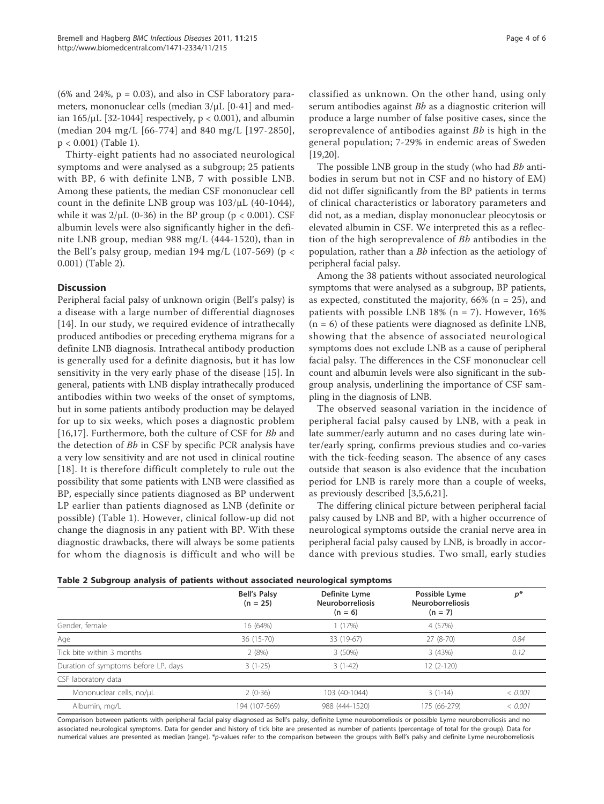$(6\%$  and 24%,  $p = 0.03$ ), and also in CSF laboratory parameters, mononuclear cells (median 3/μL [0-41] and median  $165/\mu L$  [32-1044] respectively,  $p < 0.001$ ), and albumin (median 204 mg/L [66-774] and 840 mg/L [197-2850], p < 0.001) (Table 1).

Thirty-eight patients had no associated neurological symptoms and were analysed as a subgroup; 25 patients with BP, 6 with definite LNB, 7 with possible LNB. Among these patients, the median CSF mononuclear cell count in the definite LNB group was 103/μL (40-1044), while it was  $2/\mu L$  (0-36) in the BP group (p < 0.001). CSF albumin levels were also significantly higher in the definite LNB group, median 988 mg/L (444-1520), than in the Bell's palsy group, median 194 mg/L (107-569) (p < 0.001) (Table 2).

### **Discussion**

Peripheral facial palsy of unknown origin (Bell's palsy) is a disease with a large number of differential diagnoses [14]. In our study, we required evidence of intrathecally produced antibodies or preceding erythema migrans for a definite LNB diagnosis. Intrathecal antibody production is generally used for a definite diagnosis, but it has low sensitivity in the very early phase of the disease [15]. In general, patients with LNB display intrathecally produced antibodies within two weeks of the onset of symptoms, but in some patients antibody production may be delayed for up to six weeks, which poses a diagnostic problem [16,17]. Furthermore, both the culture of CSF for *Bb* and the detection of Bb in CSF by specific PCR analysis have a very low sensitivity and are not used in clinical routine [18]. It is therefore difficult completely to rule out the possibility that some patients with LNB were classified as BP, especially since patients diagnosed as BP underwent LP earlier than patients diagnosed as LNB (definite or possible) (Table 1). However, clinical follow-up did not change the diagnosis in any patient with BP. With these diagnostic drawbacks, there will always be some patients for whom the diagnosis is difficult and who will be

classified as unknown. On the other hand, using only serum antibodies against *Bb* as a diagnostic criterion will produce a large number of false positive cases, since the seroprevalence of antibodies against Bb is high in the general population; 7-29% in endemic areas of Sweden [19,20].

The possible LNB group in the study (who had *Bb* antibodies in serum but not in CSF and no history of EM) did not differ significantly from the BP patients in terms of clinical characteristics or laboratory parameters and did not, as a median, display mononuclear pleocytosis or elevated albumin in CSF. We interpreted this as a reflection of the high seroprevalence of Bb antibodies in the population, rather than a Bb infection as the aetiology of peripheral facial palsy.

Among the 38 patients without associated neurological symptoms that were analysed as a subgroup, BP patients, as expected, constituted the majority,  $66\%$  (n = 25), and patients with possible LNB 18% ( $n = 7$ ). However, 16%  $(n = 6)$  of these patients were diagnosed as definite LNB, showing that the absence of associated neurological symptoms does not exclude LNB as a cause of peripheral facial palsy. The differences in the CSF mononuclear cell count and albumin levels were also significant in the subgroup analysis, underlining the importance of CSF sampling in the diagnosis of LNB.

The observed seasonal variation in the incidence of peripheral facial palsy caused by LNB, with a peak in late summer/early autumn and no cases during late winter/early spring, confirms previous studies and co-varies with the tick-feeding season. The absence of any cases outside that season is also evidence that the incubation period for LNB is rarely more than a couple of weeks, as previously described [3,5,6,21].

The differing clinical picture between peripheral facial palsy caused by LNB and BP, with a higher occurrence of neurological symptoms outside the cranial nerve area in peripheral facial palsy caused by LNB, is broadly in accordance with previous studies. Two small, early studies

|  |  |  |  |  | Table 2 Subgroup analysis of patients without associated neurological symptoms |
|--|--|--|--|--|--------------------------------------------------------------------------------|
|--|--|--|--|--|--------------------------------------------------------------------------------|

|                                      | <b>Bell's Palsy</b><br>$(n = 25)$ | Definite Lyme<br><b>Neuroborreliosis</b><br>$(n = 6)$ | Possible Lyme<br><b>Neuroborreliosis</b><br>$(n = 7)$ | $p^*$   |
|--------------------------------------|-----------------------------------|-------------------------------------------------------|-------------------------------------------------------|---------|
| Gender, female                       | 16 (64%)                          | (17%)                                                 | 4 (57%)                                               |         |
| Age                                  | 36 (15-70)                        | 33 (19-67)                                            | $27(8-70)$                                            | 0.84    |
| Tick bite within 3 months            | 2(8%)                             | 3 (50%)                                               | 3(43%)                                                | 0.12    |
| Duration of symptoms before LP, days | $3(1-25)$                         | $3(1-42)$                                             | $12(2-120)$                                           |         |
| CSF laboratory data                  |                                   |                                                       |                                                       |         |
| Mononuclear cells, no/uL             | $2(0-36)$                         | 103 (40-1044)                                         | $3(1-14)$                                             | < 0.001 |
| Albumin, mg/L                        | 194 (107-569)                     | 988 (444-1520)                                        | 175 (66-279)                                          | < 0.001 |

Comparison between patients with peripheral facial palsy diagnosed as Bell's palsy, definite Lyme neuroborreliosis or possible Lyme neuroborreliosis and no associated neurological symptoms. Data for gender and history of tick bite are presented as number of patients (percentage of total for the group). Data for numerical values are presented as median (range). \*p-values refer to the comparison between the groups with Bell's palsy and definite Lyme neuroborreliosis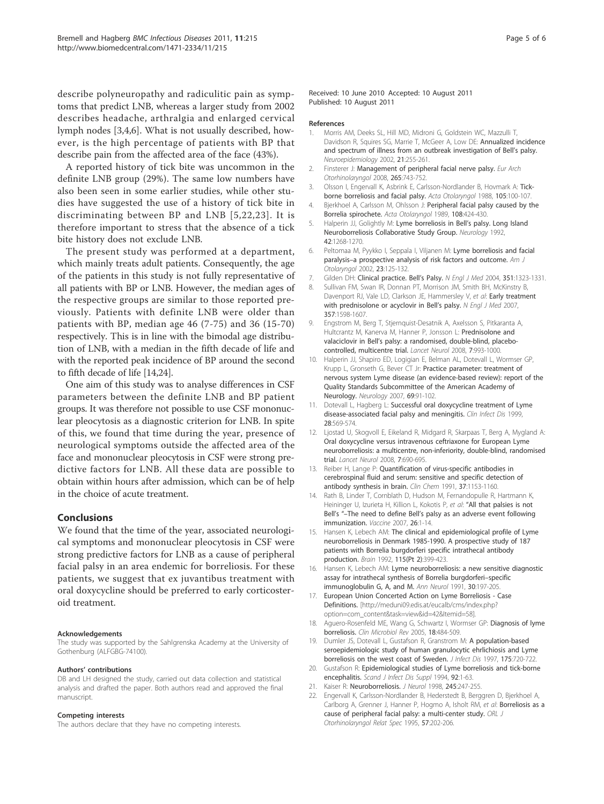describe polyneuropathy and radiculitic pain as symptoms that predict LNB, whereas a larger study from 2002 describes headache, arthralgia and enlarged cervical lymph nodes [3,4,6]. What is not usually described, however, is the high percentage of patients with BP that describe pain from the affected area of the face (43%).

A reported history of tick bite was uncommon in the definite LNB group (29%). The same low numbers have also been seen in some earlier studies, while other studies have suggested the use of a history of tick bite in discriminating between BP and LNB [5,22,23]. It is therefore important to stress that the absence of a tick bite history does not exclude LNB.

The present study was performed at a department, which mainly treats adult patients. Consequently, the age of the patients in this study is not fully representative of all patients with BP or LNB. However, the median ages of the respective groups are similar to those reported previously. Patients with definite LNB were older than patients with BP, median age 46 (7-75) and 36 (15-70) respectively. This is in line with the bimodal age distribution of LNB, with a median in the fifth decade of life and with the reported peak incidence of BP around the second to fifth decade of life [14,24].

One aim of this study was to analyse differences in CSF parameters between the definite LNB and BP patient groups. It was therefore not possible to use CSF mononuclear pleocytosis as a diagnostic criterion for LNB. In spite of this, we found that time during the year, presence of neurological symptoms outside the affected area of the face and mononuclear pleocytosis in CSF were strong predictive factors for LNB. All these data are possible to obtain within hours after admission, which can be of help in the choice of acute treatment.

### Conclusions

We found that the time of the year, associated neurological symptoms and mononuclear pleocytosis in CSF were strong predictive factors for LNB as a cause of peripheral facial palsy in an area endemic for borreliosis. For these patients, we suggest that ex juvantibus treatment with oral doxycycline should be preferred to early corticosteroid treatment.

#### Acknowledgements

The study was supported by the Sahlgrenska Academy at the University of Gothenburg (ALFGBG-74100).

#### Authors' contributions

DB and LH designed the study, carried out data collection and statistical analysis and drafted the paper. Both authors read and approved the final manuscript.

#### Competing interests

The authors declare that they have no competing interests.

#### Received: 10 June 2010 Accepted: 10 August 2011 Published: 10 August 2011

### References

- 1. Morris AM, Deeks SL, Hill MD, Midroni G, Goldstein WC, Mazzulli T, Davidson R, Squires SG, Marrie T, McGeer A, Low DE: Annualized incidence and spectrum of illness from an outbreak investigation of Bell's palsy. Neuroepidemiology 2002, 21:255-261.
- 2. Finsterer J: Management of peripheral facial nerve palsy. Eur Arch Otorhinolaryngol 2008, 265:743-752.
- 3. Olsson I, Engervall K, Asbrink E, Carlsson-Nordlander B, Hovmark A: Tickborne borreliosis and facial palsy. Acta Otolaryngol 1988, 105:100-107.
- 4. Bjerkhoel A, Carlsson M, Ohlsson J: Peripheral facial palsy caused by the Borrelia spirochete. Acta Otolaryngol 1989, 108:424-430.
- 5. Halperin JJ, Golightly M: Lyme borreliosis in Bell's palsy. Long Island Neuroborreliosis Collaborative Study Group. Neurology 1992, 42:1268-1270.
- 6. Peltomaa M, Pyykko I, Seppala I, Viljanen M: Lyme borreliosis and facial paralysis–a prospective analysis of risk factors and outcome. Am J Otolaryngol 2002, 23:125-132.
- 7. Gilden DH: Clinical practice. Bell's Palsy. N Engl J Med 2004, 351:1323-1331.
- 8. Sullivan FM, Swan IR, Donnan PT, Morrison JM, Smith BH, McKinstry B, Davenport RJ, Vale LD, Clarkson JE, Hammersley V, et al: Early treatment with prednisolone or acyclovir in Bell's palsy. N Engl J Med 2007, 357:1598-1607.
- 9. Engstrom M, Berg T, Stjernquist-Desatnik A, Axelsson S, Pitkaranta A, Hultcrantz M, Kanerva M, Hanner P, Jonsson L: Prednisolone and valaciclovir in Bell's palsy: a randomised, double-blind, placebocontrolled, multicentre trial. Lancet Neurol 2008, 7:993-1000.
- 10. Halperin JJ, Shapiro ED, Logigian E, Belman AL, Dotevall L, Wormser GP, Krupp L, Gronseth G, Bever CT Jr: Practice parameter: treatment of nervous system Lyme disease (an evidence-based review): report of the Quality Standards Subcommittee of the American Academy of Neurology. Neurology 2007, 69:91-102.
- 11. Dotevall L, Hagberg L: Successful oral doxycycline treatment of Lyme disease-associated facial palsy and meningitis. Clin Infect Dis 1999, 28:569-574.
- 12. Ljostad U, Skogvoll E, Eikeland R, Midgard R, Skarpaas T, Berg A, Mygland A: Oral doxycycline versus intravenous ceftriaxone for European Lyme neuroborreliosis: a multicentre, non-inferiority, double-blind, randomised trial. Lancet Neurol 2008, 7:690-695.
- 13. Reiber H, Lange P: Quantification of virus-specific antibodies in cerebrospinal fluid and serum: sensitive and specific detection of antibody synthesis in brain. Clin Chem 1991, 37:1153-1160.
- 14. Rath B, Linder T, Cornblath D, Hudson M, Fernandopulle R, Hartmann K, Heininger U, Izurieta H, Killion L, Kokotis P, et al: "All that palsies is not Bell's "–The need to define Bell's palsy as an adverse event following immunization. Vaccine 2007, 26:1-14.
- 15. Hansen K, Lebech AM: The clinical and epidemiological profile of Lyme neuroborreliosis in Denmark 1985-1990. A prospective study of 187 patients with Borrelia burgdorferi specific intrathecal antibody production. Brain 1992, 115(Pt 2):399-423.
- 16. Hansen K, Lebech AM: Lyme neuroborreliosis: a new sensitive diagnostic assay for intrathecal synthesis of Borrelia burgdorferi–specific immunoglobulin G, A, and M. Ann Neurol 1991, 30:197-205.
- 17. European Union Concerted Action on Lyme Borreliosis Case Definitions. [http://meduni09.edis.at/eucalb/cms/index.php? option=com\_content&task=view&id=42&Itemid=58].
- 18. Aguero-Rosenfeld ME, Wang G, Schwartz I, Wormser GP: Diagnosis of lyme borreliosis. Clin Microbiol Rev 2005, 18:484-509.
- 19. Dumler JS, Dotevall L, Gustafson R, Granstrom M: A population-based seroepidemiologic study of human granulocytic ehrlichiosis and Lyme borreliosis on the west coast of Sweden. J Infect Dis 1997, 175:720-722.
- 20. Gustafson R: Epidemiological studies of Lyme borreliosis and tick-borne encephalitis. Scand J Infect Dis Suppl 1994, 92:1-63.
- 21. Kaiser R: Neuroborreliosis. J Neurol 1998, 245:247-255.
- 22. Engervall K, Carlsson-Nordlander B, Hederstedt B, Berggren D, Bjerkhoel A, Carlborg A, Grenner J, Hanner P, Hogmo A, Isholt RM, et al: Borreliosis as a cause of peripheral facial palsy: a multi-center study. ORL J Otorhinolaryngol Relat Spec 1995, 57:202-206.